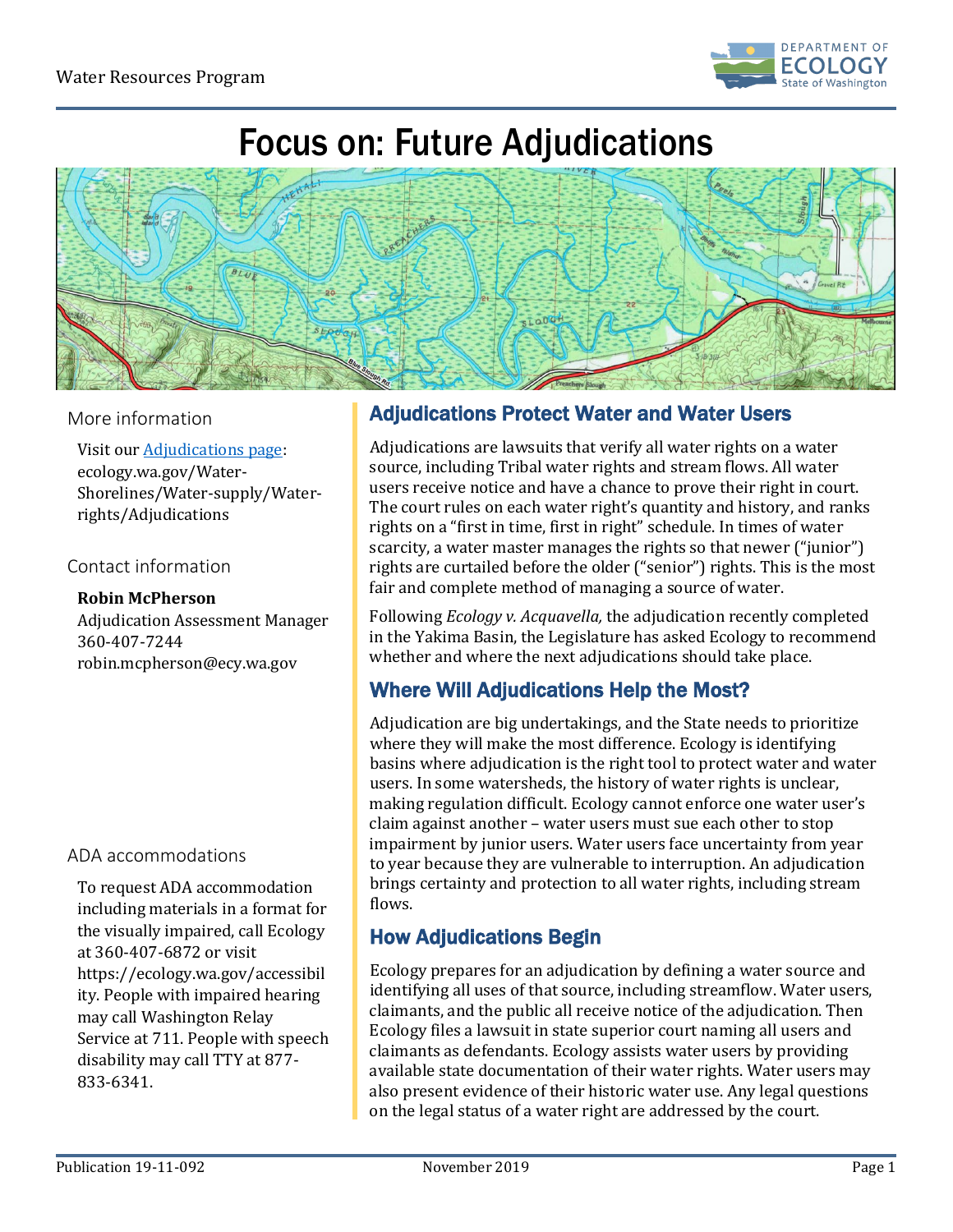

# Focus on: Future Adjudications



#### More information

Visit our [Adjudications page:](https://ecology.wa.gov/Water-Shorelines/Water-supply/Water-rights/Adjudications) ecology.wa.gov/Water-Shorelines/Water-supply/Waterrights/Adjudications

#### Contact information

**Robin McPherson** Adjudication Assessment Manager 360-407-7244 robin.mcpherson@ecy.wa.gov

#### ADA accommodations

To request ADA accommodation including materials in a format for the visually impaired, call Ecology at 360-407-6872 or visit [https://ecology.wa.gov/accessibil](https://ecology.wa.gov/accessibility) [ity.](https://ecology.wa.gov/accessibility) People with impaired hearing may call Washington Relay Service at 711. People with speech disability may call TTY at 877- 833-6341.

# Adjudications Protect Water and Water Users

Adjudications are lawsuits that verify all water rights on a water source, including Tribal water rights and stream flows. All water users receive notice and have a chance to prove their right in court. The court rules on each water right's quantity and history, and ranks rights on a "first in time, first in right" schedule. In times of water scarcity, a water master manages the rights so that newer ("junior") rights are curtailed before the older ("senior") rights. This is the most fair and complete method of managing a source of water.

Following *Ecology v. Acquavella,* the adjudication recently completed in the Yakima Basin, the Legislature has asked Ecology to recommend whether and where the next adjudications should take place.

## Where Will Adjudications Help the Most?

Adjudication are big undertakings, and the State needs to prioritize where they will make the most difference. Ecology is identifying basins where adjudication is the right tool to protect water and water users. In some watersheds, the history of water rights is unclear, making regulation difficult. Ecology cannot enforce one water user's claim against another – water users must sue each other to stop impairment by junior users. Water users face uncertainty from year to year because they are vulnerable to interruption. An adjudication brings certainty and protection to all water rights, including stream flows.

## How Adjudications Begin

Ecology prepares for an adjudication by defining a water source and identifying all uses of that source, including streamflow. Water users, claimants, and the public all receive notice of the adjudication. Then Ecology files a lawsuit in state superior court naming all users and claimants as defendants. Ecology assists water users by providing available state documentation of their water rights. Water users may also present evidence of their historic water use. Any legal questions on the legal status of a water right are addressed by the court.